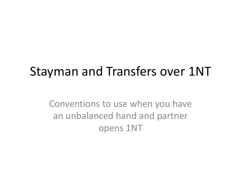#### Stayman and Transfers over 1NT

Conventions to use when you have an unbalanced hand and partner opens 1NT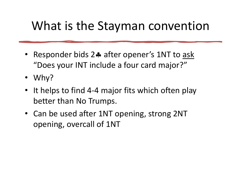#### What is the Stayman convention

- Responder bids 24 after opener's 1NT to ask "Does your INT include a four card major?"
- Why?
- It helps to find 4-4 major fits which often play better than No Trumps.
- Can be used after 1NT opening, strong 2NT opening, overcall of 1NT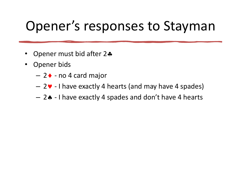# Opener's responses to Stayman pener "S responses to Stayman<br>
Dpener must bid after 2\*<br>
Dpener bids<br>
— 2\* - I have exactly 4 hearts (and may have 4 spades)<br>
— 2\* - I have exactly 4 spades and don't have 4 hearts

- Opener must bid after  $2\clubsuit$
- Opener bids
	-
	-
	-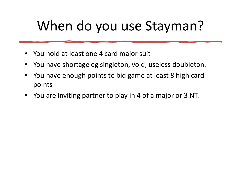#### When do you use Stayman?

- You hold at least one 4 card major suit
- 
- When do you use Stayman?<br>• You hold at least one 4 card major suit<br>• You have shortage eg singleton, void, useless doubleton.<br>• You have enough points to bid game at least 8 high card<br>points • You have enough points to bid game at least 8 high card points
- You are inviting partner to play in 4 of a major or 3 NT.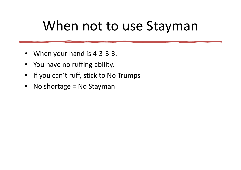#### When not to use Stayman

- When your hand is 4-3-3-3.
- You have no ruffing ability.
- If you can't ruff, stick to No Trumps
- No shortage = No Stayman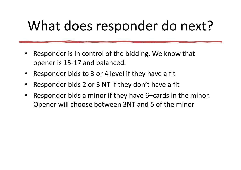#### What does responder do next?

- Responder is in control of the bidding. We know that opener is 15-17 and balanced.
- Responder bids to 3 or 4 level if they have a fit
- Responder bids 2 or 3 NT if they don't have a fit
- Responder bids a minor if they have 6+cards in the minor. Opener will choose between 3NT and 5 of the minor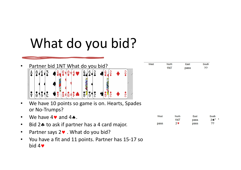- Partner bid 1NT What do you bid?<br>A 8 6 3 4 9 9 8 4 9 9 9 2 4 9  $8(6(3)$  $9 - 10$  ( $8 + 4$  $\frac{2}{2}$  $\frac{A}{\bullet}$  $\frac{1}{H}$ **م**<br>۱۱  $\frac{1}{8}$ Ŕ  $\mathbf{Q}$  $\tilde{Q}$
- We have 10 points so game is on. Hearts, Spades or No-Trumps?
- We have  $4\blacktriangledown$  and  $4\blacktriangle$ .
- Bid 2. to ask if partner has a 4 card major.
- Partner says  $2 \vee$ . What do you bid?
- You have a fit and 11 points. Partner has 15-17 so  $bid 4$

| West | <b>North</b> | East | South   |
|------|--------------|------|---------|
|      | 1NT          | pass | $2 + 1$ |
| pass | 29           | pass | 22      |

| West | <b>North</b> | Fast | South     |
|------|--------------|------|-----------|
|      | 1NT          | pass | ാറ<br>. . |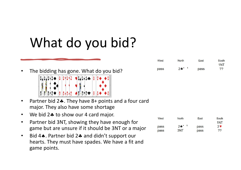The bidding has gone. What do you bid?



- Partner bid  $2\clubsuit$ . They have  $8+$  points and a four card major. They also have some shortage
- We bid  $2\clubsuit$  to show our 4 card major.
- Partner bid 3NT, showing they have enough for game but are unsure if it should be 3NT or a major
- Bid 4. Partner bid 2. and didn't support our hearts. They must have spades. We have a fit and game points.

| West | <b>North</b> | East | South |
|------|--------------|------|-------|
|      |              |      | 1NT   |
| pass | $2*$         | pass | $2$ V |
| pass | 3NT          | pass | 22    |

| West | <b>North</b> | East | South |
|------|--------------|------|-------|
|      |              |      | 1NT   |
| pass | $2*1$        | pass | ??    |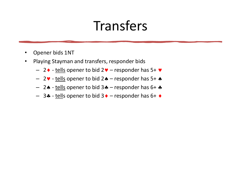#### Transfers

- Opener bids 1NT
- Playing Stayman and transfers, responder bids
	-
	-
- Fransfers<br>ppener bids 1NT<br>laying Stayman and transfers, responder bids<br>- 2 - <u>tells</u> opener to bid 2 - responder has 5+ •<br>- 2 - <u>tells</u> opener to bid 2 - responder has 5+ •<br>- 2 - <u>tells</u> opener to bid 3 - respo Fransfers<br>
Depener bids 1NT<br>
laying Stayman and transfers, responder bids<br>  $- 2 \cdot - \frac{\text{tells}}{\text{opener to bid } 2 \cdot - \text{responder has } 5 + \cdot}$ <br>  $- 2 \cdot - \frac{\text{tells}}{\text{opener to bid } 3 \cdot - \text{responder has } 5 + \cdot}$ <br>  $- 3 \cdot - \frac{\text{tells}}{\text{opener to bid } 3 \cdot - \text{responder has } 6 + \cdot}$ Fransfers<br>
Depener bids 1NT<br>
laying Stayman and transfers, responder bids<br>
- 2 • tells opener to bid 2 • - responder has 5+ •<br>
- 2 • tells opener to bid 3 • - responder has 6+ •<br>
- 3 • tells opener to bid 3 • - responder h FETTLES<br>
UPPER PROPERTED SUPPORT THAT INTITY INTO THE SUPPORT THAT IS A FIRED OPEN THE SUPPORT OF A FIRED SUPPORT THAT A FIRED SUPPORT THAT A SAMPLE SUPPORT THAT A SAMPLE SUPPORT THAT A SAMPLE SUPPORT THAT A SAMPLE SUPPOR
	-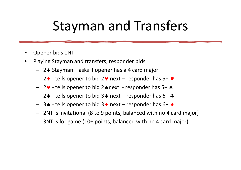### Stayman and Transfers Stayman and Transfers<br>
Depener bids 1NT<br>
laying Stayman and transfers, responder bids<br>
- 2\* Stayman – asks if opener has a 4 card major<br>
- 2\* - tells opener to bid 2\* next – responder has 5+ \*<br>
- 2\* - tells opener to bid 3 Stayman and Transfers<br>
Dipener bids 1NT<br>
laying Stayman and transfers, responder bids<br>  $-$  2  $\bullet$  - tells opener to bid 2 $\bullet$  next - responder has 5+  $\bullet$ <br>  $-$  2 $\bullet$  - tells opener to bid 2 $\bullet$  next - responder has 5+  $\bullet$ – 2 → tells opener to bid 3 → next – responder has 6+<br>
– 2 + tells opener to bid 2 → next – responder has 5+<br>
– 2 → tells opener to bid 2 → next – responder has 5+<br>
– 2 → tells opener to bid 3 → next – responder has 6+<br>
–

- Opener bids 1NT
- Playing Stayman and transfers, responder bids
	-
	-
	-
	-
	-
- Dener bids 1NT<br>
laying Stayman and transfers, responder bids<br>  $2 \cdot \text{Stayman} \text{aski}$  figure has a 4 card major<br>  $2 \cdot \text{tells}$  opener to bid  $2 \cdot \text{next} \text{responder has } 5 + \cdot \text{const}$ <br>  $2 \cdot \text{tells}$  opener to bid  $3 \cdot \text{next} \text{responder has } 6 + \cdot \text$ – 2NT is invitational (8 to 9 points, balanced with no 4 card major)
	- 3NT is for game (10+ points, balanced with no 4 card major)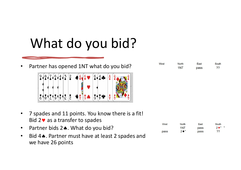Partner has opened 1NT what do you bid?



| • 7 spades and 11 points. You know there is a fit! |  |
|----------------------------------------------------|--|
| Bid $2 \cdot \cdot$ as a transfer to spades        |  |

- Partner bids 2.. What do you bid?
- Bid 4. Partner must have at least 2 spades and we have 26 points

| West | <b>North</b> | East | South  |
|------|--------------|------|--------|
|      | 1NT          | pass | $24*1$ |
| pass | $24*$        | pass | 22     |

East

pass

South

??

**North** 

1NT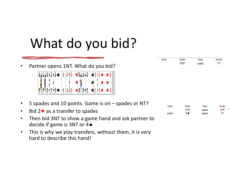## What do you bid? **• Partner opens 1NT.** What do you bid?<br>
• Partner opens 1NT. What do you bid?<br>
•  $\frac{1}{2}$ <br>
•  $\frac{1}{2}$ <br>
•  $\frac{1}{2}$ <br>
•  $\frac{1}{2}$ <br>
• 5 spades and 10 points. Game is on – spades or NT?<br>
• Bid 2 v as a transfer to spades<br>

Partner opens 1NT. What do you bid?

- Bid  $2 \vee$  as a transfer to spades
- Then bid 3NT to show a game hand and ask partner to decide if game is 3NT or 4
- This is why we play transfers, without them, it is very hard to describe this hand!

| West | <b>North</b> | Fast | South     |
|------|--------------|------|-----------|
|      | 1NT          | pass | າາ<br>. . |

| West | <b>North</b> | East | South  |
|------|--------------|------|--------|
|      | 1NT          | pass | $24*1$ |
| pass | $24*$        | pass | 22     |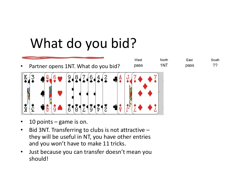

- 
- Bid 3NT. Transferring to clubs is not attractive they will be useful in NT, you have other entries and you won't have to make 11 tricks.
- Just because you can transfer doesn't mean you should!